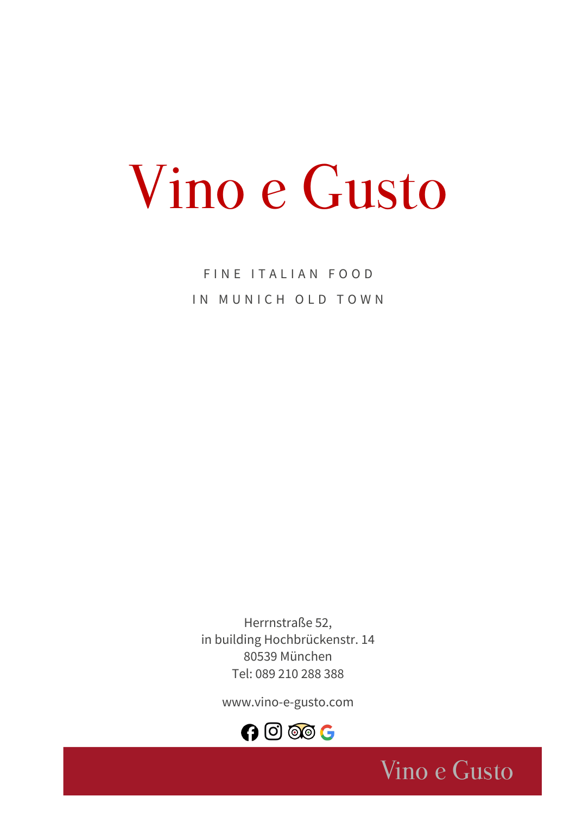# Vino e Gusto

FINE ITALIAN FOOD IN MUNICH OLD TOWN

Herrnstraße 52, in building Hochbrückenstr. 14 80539 München Tel: 089 210 288 388

[www.vino-e-gusto.com](http://www.vino-e-gusto.com/)



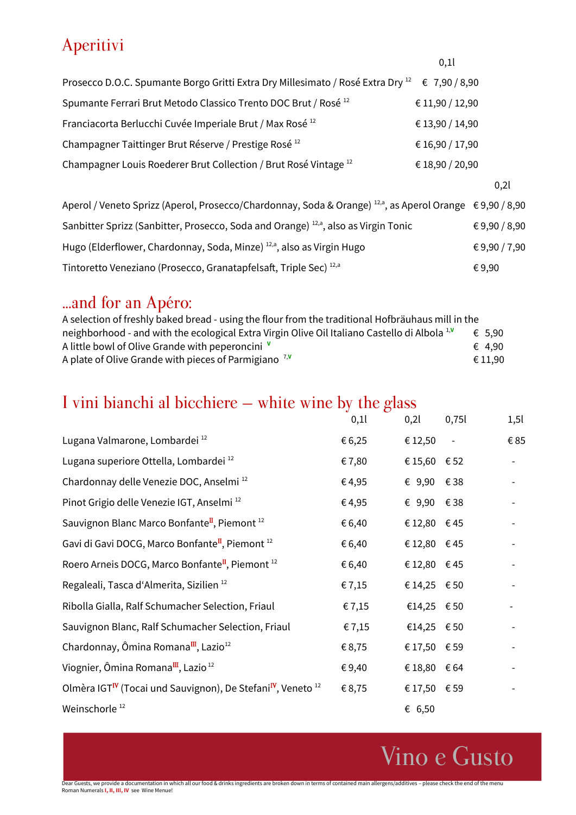# Aperitivi

| Prosecco D.O.C. Spumante Borgo Gritti Extra Dry Millesimato / Rosé Extra Dry <sup>12</sup> € 7,90 / 8,90 |                 |
|----------------------------------------------------------------------------------------------------------|-----------------|
| Spumante Ferrari Brut Metodo Classico Trento DOC Brut / Rosé <sup>12</sup>                               | € 11,90 / 12,90 |
| Franciacorta Berlucchi Cuvée Imperiale Brut / Max Rosé <sup>12</sup>                                     | € 13,90 / 14,90 |
| Champagner Taittinger Brut Réserve / Prestige Rosé <sup>12</sup>                                         | € 16,90 / 17,90 |
| Champagner Louis Roederer Brut Collection / Brut Rosé Vintage <sup>12</sup>                              | € 18,90 / 20,90 |
|                                                                                                          |                 |

0,2l

0,1l

| Aperol / Veneto Sprizz (Aperol, Prosecco/Chardonnay, Soda & Orange) $^{12, a}$ , as Aperol Orange $\epsilon$ 9,90 / 8,90 |            |
|--------------------------------------------------------------------------------------------------------------------------|------------|
| Sanbitter Sprizz (Sanbitter, Prosecco, Soda and Orange) <sup>12,a</sup> , also as Virgin Tonic                           | €9,90/8,90 |
| Hugo (Elderflower, Chardonnay, Soda, Minze) <sup>12,a</sup> , also as Virgin Hugo                                        | €9,90/7,90 |
| Tintoretto Veneziano (Prosecco, Granatapfelsaft, Triple Sec) <sup>12,a</sup>                                             | €9.90      |

### ...and for an Apéro:

| A selection of freshly baked bread - using the flour from the traditional Hofbräuhaus mill in the        |                 |
|----------------------------------------------------------------------------------------------------------|-----------------|
| neighborhood - and with the ecological Extra Virgin Olive Oil Italiano Castello di Albola <sup>1,V</sup> | € 5.90          |
| A little bowl of Olive Grande with peperoncini V                                                         | $\epsilon$ 4.90 |
| A plate of Olive Grande with pieces of Parmigiano <sup>7, V</sup>                                        | € 11.90         |

# I vini bianchi al bicchiere – white wine by the glass

|                                                                                                 | 0,11   | 0,21          | 0,751 | 1,51 |
|-------------------------------------------------------------------------------------------------|--------|---------------|-------|------|
| Lugana Valmarone, Lombardei <sup>12</sup>                                                       | € 6,25 | € 12,50       |       | €85  |
| Lugana superiore Ottella, Lombardei <sup>12</sup>                                               | €7,80  | €15,60 $€52$  |       |      |
| Chardonnay delle Venezie DOC, Anselmi <sup>12</sup>                                             | € 4,95 | € 9,90 $€ 38$ |       |      |
| Pinot Grigio delle Venezie IGT, Anselmi <sup>12</sup>                                           | €4,95  | € 9,90 $€ 38$ |       |      |
| Sauvignon Blanc Marco Bonfante <sup>II</sup> , Piemont <sup>12</sup>                            | € 6,40 | €12,80 $€45$  |       |      |
| Gavi di Gavi DOCG, Marco Bonfante <sup>II</sup> , Piemont <sup>12</sup>                         | € 6,40 | €12,80 $€45$  |       |      |
| Roero Arneis DOCG, Marco Bonfante <sup>II</sup> , Piemont <sup>12</sup>                         | € 6,40 | €12,80 $€45$  |       |      |
| Regaleali, Tasca d'Almerita, Sizilien <sup>12</sup>                                             | € 7,15 | €14,25 $€50$  |       |      |
| Ribolla Gialla, Ralf Schumacher Selection, Friaul                                               | €7,15  | €14,25 $€50$  |       |      |
| Sauvignon Blanc, Ralf Schumacher Selection, Friaul                                              | € 7,15 | €14,25 $€50$  |       |      |
| Chardonnay, Ômina Romana <sup>III</sup> , Lazio <sup>12</sup>                                   | €8,75  | €17,50 €59    |       |      |
| Viognier, Ômina Romana <sup>III</sup> , Lazio <sup>12</sup>                                     | €9,40  | €18,80 $€64$  |       |      |
| Olmèra IGT <sup>IV</sup> (Tocai und Sauvignon), De Stefani <sup>IV</sup> , Veneto <sup>12</sup> | € 8,75 | € 17,50 € 59  |       |      |
| Weinschorle <sup>12</sup>                                                                       |        | € 6,50        |       |      |

Vino e Gusto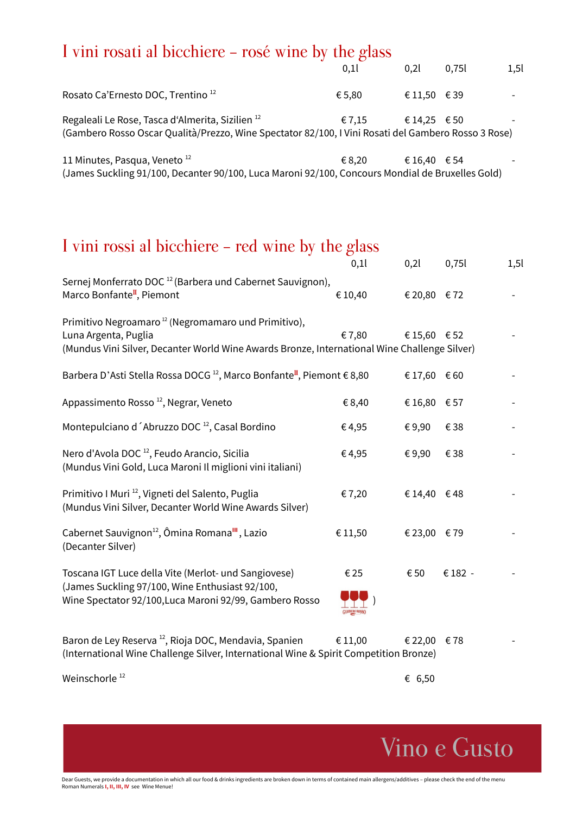# I vini rosati al bicchiere - rosé wine by the glass

|                                                                                                                                                                    | 0,1    | 0.21         | 0,751 | 1,5 |
|--------------------------------------------------------------------------------------------------------------------------------------------------------------------|--------|--------------|-------|-----|
| Rosato Ca'Ernesto DOC, Trentino <sup>12</sup>                                                                                                                      | € 5,80 | €11,50 €39   |       |     |
| Regaleali Le Rose, Tasca d'Almerita, Sizilien <sup>12</sup><br>(Gambero Rosso Oscar Qualità/Prezzo, Wine Spectator 82/100, I Vini Rosati del Gambero Rosso 3 Rose) | € 7.15 | € 14,25 € 50 |       |     |
| 11 Minutes, Pasqua, Veneto <sup>12</sup>                                                                                                                           | € 8,20 | € 16,40      | € 54  |     |

(James Suckling 91/100, Decanter 90/100, Luca Maroni 92/100, Concours Mondial de Bruxelles Gold)

# I vini rossi al bicchiere - red wine by the glass

|                                                                                                                                                                                         | 0,11    | 0,21         | 0,751   | 1,5 |
|-----------------------------------------------------------------------------------------------------------------------------------------------------------------------------------------|---------|--------------|---------|-----|
| Sernej Monferrato DOC <sup>12</sup> (Barbera und Cabernet Sauvignon),<br>Marco Bonfante <sup>II</sup> , Piemont                                                                         | € 10,40 | €20,80 €72   |         |     |
| Primitivo Negroamaro <sup>12</sup> (Negromamaro und Primitivo),<br>Luna Argenta, Puglia<br>(Mundus Vini Silver, Decanter World Wine Awards Bronze, International Wine Challenge Silver) | €7,80   | €15,60 $€52$ |         |     |
| Barbera D'Asti Stella Rossa DOCG <sup>12</sup> , Marco Bonfante <sup>II</sup> , Piemont € 8,80                                                                                          |         | €17,60 $€60$ |         |     |
| Appassimento Rosso <sup>12</sup> , Negrar, Veneto                                                                                                                                       | € 8,40  | €16,80 $€57$ |         |     |
| Montepulciano d'Abruzzo DOC <sup>12</sup> , Casal Bordino                                                                                                                               | €4,95   | €9,90        | €38     |     |
| Nero d'Avola DOC <sup>12</sup> , Feudo Arancio, Sicilia<br>(Mundus Vini Gold, Luca Maroni Il miglioni vini italiani)                                                                    | €4,95   | €9,90        | €38     |     |
| Primitivo I Muri <sup>12</sup> , Vigneti del Salento, Puglia<br>(Mundus Vini Silver, Decanter World Wine Awards Silver)                                                                 | €7,20   | €14,40 $€48$ |         |     |
| Cabernet Sauvignon <sup>12</sup> , Ômina Romana <sup>III</sup> , Lazio<br>(Decanter Silver)                                                                                             | € 11,50 | €23,00 €79   |         |     |
| Toscana IGT Luce della Vite (Merlot- und Sangiovese)<br>(James Suckling 97/100, Wine Enthusiast 92/100,<br>Wine Spectator 92/100, Luca Maroni 92/99, Gambero Rosso                      | € 25    | € 50         | € 182 - |     |
| Baron de Ley Reserva <sup>12</sup> , Rioja DOC, Mendavia, Spanien<br>(International Wine Challenge Silver, International Wine & Spirit Competition Bronze)                              | € 11,00 | € 22,00      | €78     |     |
| Weinschorle <sup>12</sup>                                                                                                                                                               |         | € 6,50       |         |     |

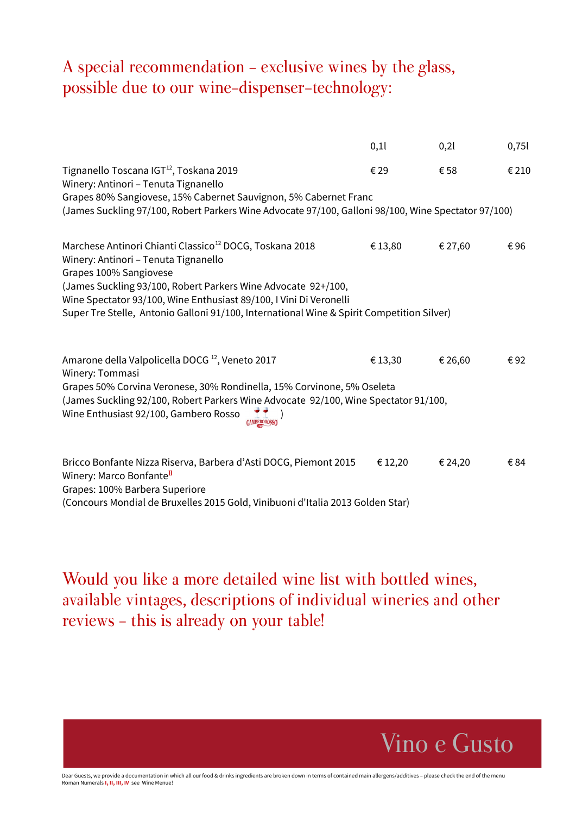### A special recommendation - exclusive wines by the glass, possible due to our wine-dispenser-technology:

|                                                                                                                                                                                                                                                                                                                                                                           | 0,1     | 0,21    | 0,751 |
|---------------------------------------------------------------------------------------------------------------------------------------------------------------------------------------------------------------------------------------------------------------------------------------------------------------------------------------------------------------------------|---------|---------|-------|
| Tignanello Toscana IGT <sup>12</sup> , Toskana 2019<br>Winery: Antinori - Tenuta Tignanello                                                                                                                                                                                                                                                                               | € 29    | € 58    | € 210 |
| Grapes 80% Sangiovese, 15% Cabernet Sauvignon, 5% Cabernet Franc<br>(James Suckling 97/100, Robert Parkers Wine Advocate 97/100, Galloni 98/100, Wine Spectator 97/100)                                                                                                                                                                                                   |         |         |       |
| Marchese Antinori Chianti Classico <sup>12</sup> DOCG, Toskana 2018<br>Winery: Antinori - Tenuta Tignanello<br>Grapes 100% Sangiovese<br>(James Suckling 93/100, Robert Parkers Wine Advocate 92+/100,<br>Wine Spectator 93/100, Wine Enthusiast 89/100, I Vini Di Veronelli<br>Super Tre Stelle, Antonio Galloni 91/100, International Wine & Spirit Competition Silver) | € 13,80 | € 27,60 | €96   |
| Amarone della Valpolicella DOCG <sup>12</sup> , Veneto 2017<br>Winery: Tommasi<br>Grapes 50% Corvina Veronese, 30% Rondinella, 15% Corvinone, 5% Oseleta<br>(James Suckling 92/100, Robert Parkers Wine Advocate 92/100, Wine Spectator 91/100,<br>Wine Enthusiast 92/100, Gambero Rosso                                                                                  | € 13,30 | € 26,60 | € 92  |
| Bricco Bonfante Nizza Riserva, Barbera d'Asti DOCG, Piemont 2015<br>Winery: Marco Bonfante <sup>II</sup><br>Grapes: 100% Barbera Superiore                                                                                                                                                                                                                                | € 12,20 | € 24,20 | € 84  |

(Concours Mondial de Bruxelles 2015 Gold, Vinibuoni d'Italia 2013 Golden Star)

Would you like a more detailed wine list with bottled wines, available vintages, descriptions of individual wineries and other reviews - this is already on your table!



Dear Guests, we provide a documentation in which all our food & drinks ingredients are broken down in terms of contained main allergens/additives – please check the end of the menu Roman Numerals **I, II, III, IV** see Wine Menue!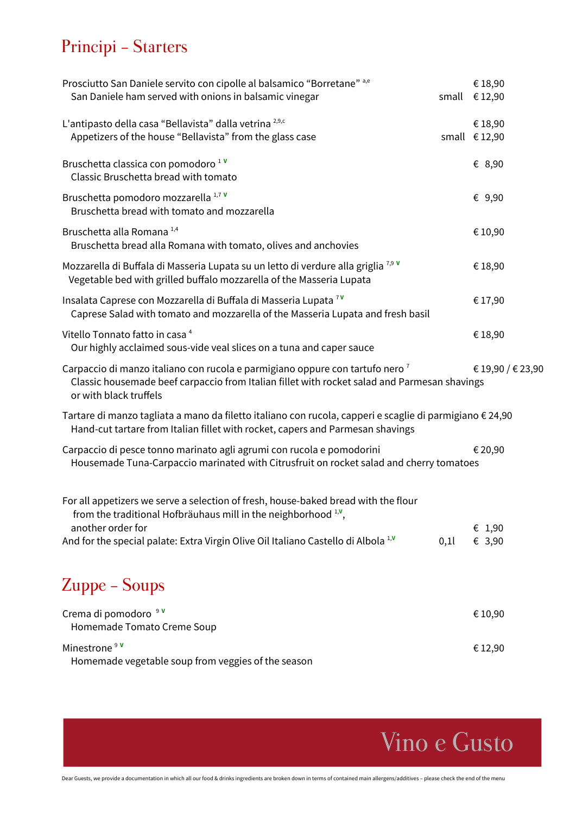# Principi - Starters

| Prosciutto San Daniele servito con cipolle al balsamico "Borretane" a,e                                                                                                                                            |       | € 18,90                |
|--------------------------------------------------------------------------------------------------------------------------------------------------------------------------------------------------------------------|-------|------------------------|
| San Daniele ham served with onions in balsamic vinegar                                                                                                                                                             | small | € 12,90                |
| L'antipasto della casa "Bellavista" dalla vetrina <sup>2,9,c</sup>                                                                                                                                                 |       | €18,90                 |
| Appetizers of the house "Bellavista" from the glass case                                                                                                                                                           |       | small $\epsilon$ 12,90 |
| Bruschetta classica con pomodoro <sup>1</sup><br>Classic Bruschetta bread with tomato                                                                                                                              |       | € 8,90                 |
|                                                                                                                                                                                                                    |       |                        |
| Bruschetta pomodoro mozzarella 1,7 V<br>Bruschetta bread with tomato and mozzarella                                                                                                                                |       | € 9,90                 |
| Bruschetta alla Romana <sup>1,4</sup><br>Bruschetta bread alla Romana with tomato, olives and anchovies                                                                                                            |       | € 10,90                |
| Mozzarella di Buffala di Masseria Lupata su un letto di verdure alla griglia <sup>7,9</sup><br>Vegetable bed with grilled buffalo mozzarella of the Masseria Lupata                                                |       | € 18,90                |
| Insalata Caprese con Mozzarella di Buffala di Masseria Lupata <sup>7V</sup><br>Caprese Salad with tomato and mozzarella of the Masseria Lupata and fresh basil                                                     |       | € 17,90                |
| Vitello Tonnato fatto in casa <sup>4</sup><br>Our highly acclaimed sous-vide veal slices on a tuna and caper sauce                                                                                                 |       | €18,90                 |
| Carpaccio di manzo italiano con rucola e parmigiano oppure con tartufo nero <sup>7</sup><br>Classic housemade beef carpaccio from Italian fillet with rocket salad and Parmesan shavings<br>or with black truffels |       | € 19,90 / € 23,90      |
| Tartare di manzo tagliata a mano da filetto italiano con rucola, capperi e scaglie di parmigiano € 24,90<br>Hand-cut tartare from Italian fillet with rocket, capers and Parmesan shavings                         |       |                        |
| Carpaccio di pesce tonno marinato agli agrumi con rucola e pomodorini<br>Housemade Tuna-Carpaccio marinated with Citrusfruit on rocket salad and cherry tomatoes                                                   |       | € 20,90                |
| For all appetizers we serve a selection of fresh, house-baked bread with the flour<br>from the traditional Hofbräuhaus mill in the neighborhood $1,1$ ,                                                            |       |                        |
| another order for<br>And for the special palate: Extra Virgin Olive Oil Italiano Castello di Albola <sup>1,v</sup>                                                                                                 | 0,1   | € 1,90<br>€ 3,90       |
|                                                                                                                                                                                                                    |       |                        |
| Zuppe – Soups                                                                                                                                                                                                      |       |                        |
| Crema di pomodoro <sup>9</sup><br>Homemade Tomato Creme Soup                                                                                                                                                       |       | € 10,90                |
| Minestrone <sup>9 v</sup>                                                                                                                                                                                          |       | € 12,90                |

Homemade vegetable soup from veggies of the season

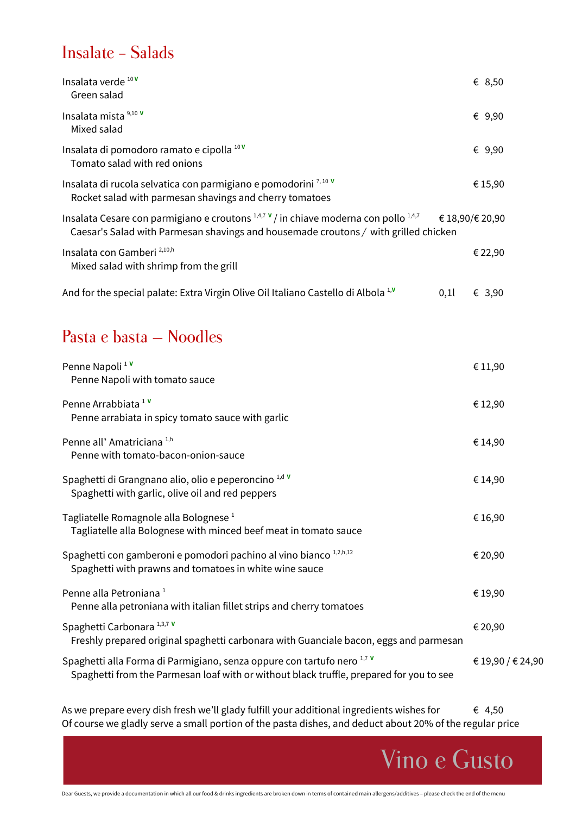### Insalate - Salads

| Insalata verde 10V<br>Green salad                                                                                                                                                                         |     | € 8,50  |
|-----------------------------------------------------------------------------------------------------------------------------------------------------------------------------------------------------------|-----|---------|
| Insalata mista 9,10 V<br>Mixed salad                                                                                                                                                                      |     | € 9,90  |
| Insalata di pomodoro ramato e cipolla 10V<br>Tomato salad with red onions                                                                                                                                 |     | € 9,90  |
| Insalata di rucola selvatica con parmigiano e pomodorini $^{7,10}$ V<br>Rocket salad with parmesan shavings and cherry tomatoes                                                                           |     | € 15,90 |
| Insalata Cesare con parmigiano e croutons $1,4,7 \vee$ in chiave moderna con pollo $1,4,7 \in \{18,90/\in 20,90\}$<br>Caesar's Salad with Parmesan shavings and housemade croutons / with grilled chicken |     |         |
| Insalata con Gamberi <sup>2,10,h</sup><br>Mixed salad with shrimp from the grill                                                                                                                          |     | € 22,90 |
| And for the special palate: Extra Virgin Olive Oil Italiano Castello di Albola <sup>1,V</sup>                                                                                                             | 0,1 | € 3,90  |

### Pasta e basta – Noodles

| Penne Napoli <sup>1</sup><br>Penne Napoli with tomato sauce                                                                                                        | € 11,90           |
|--------------------------------------------------------------------------------------------------------------------------------------------------------------------|-------------------|
| Penne Arrabbiata <sup>1</sup><br>Penne arrabiata in spicy tomato sauce with garlic                                                                                 | € 12,90           |
| Penne all' Amatriciana <sup>1,h</sup><br>Penne with tomato-bacon-onion-sauce                                                                                       | € 14,90           |
| Spaghetti di Grangnano alio, olio e peperoncino 1,d v<br>Spaghetti with garlic, olive oil and red peppers                                                          | € 14,90           |
| Tagliatelle Romagnole alla Bolognese <sup>1</sup><br>Tagliatelle alla Bolognese with minced beef meat in tomato sauce                                              | € 16,90           |
| Spaghetti con gamberoni e pomodori pachino al vino bianco 1,2,h,12<br>Spaghetti with prawns and tomatoes in white wine sauce                                       | € 20,90           |
| Penne alla Petroniana <sup>1</sup><br>Penne alla petroniana with italian fillet strips and cherry tomatoes                                                         | € 19,90           |
| Spaghetti Carbonara <sup>1,3,7</sup><br>Freshly prepared original spaghetti carbonara with Guanciale bacon, eggs and parmesan                                      | € 20,90           |
| Spaghetti alla Forma di Parmigiano, senza oppure con tartufo nero 1,7 V<br>Spaghetti from the Parmesan loaf with or without black truffle, prepared for you to see | € 19,90 / € 24,90 |
|                                                                                                                                                                    |                   |

As we prepare every dish fresh we'll glady fulfill your additional ingredients wishes for  $\epsilon$  4,50 Of course we gladly serve a small portion of the pasta dishes, and deduct about 20% of the regular price

Vino e Gusto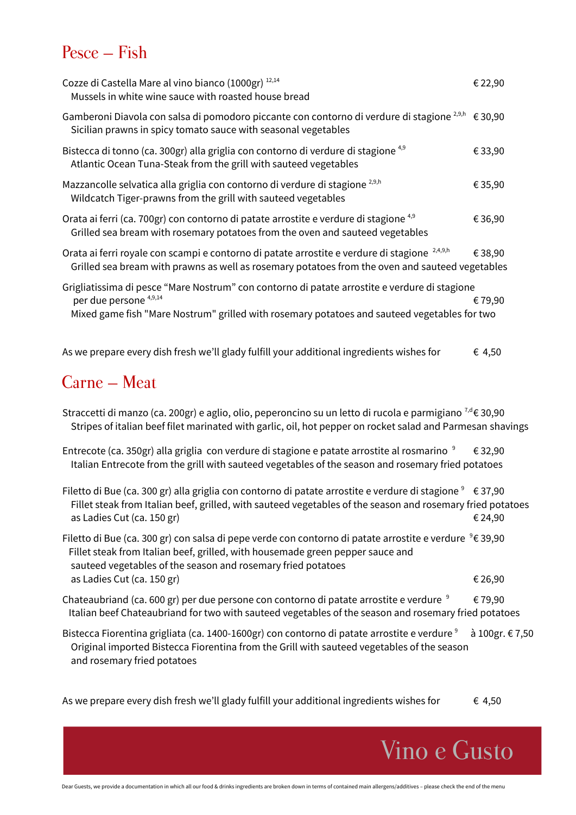### Pesce – Fish

| Cozze di Castella Mare al vino bianco (1000gr) 12,14<br>Mussels in white wine sauce with roasted house bread                                                                                                                                                     | € 22,90         |
|------------------------------------------------------------------------------------------------------------------------------------------------------------------------------------------------------------------------------------------------------------------|-----------------|
| Gamberoni Diavola con salsa di pomodoro piccante con contorno di verdure di stagione <sup>2,9,h</sup> € 30,90<br>Sicilian prawns in spicy tomato sauce with seasonal vegetables                                                                                  |                 |
| Bistecca di tonno (ca. 300gr) alla griglia con contorno di verdure di stagione <sup>4,9</sup><br>Atlantic Ocean Tuna-Steak from the grill with sauteed vegetables                                                                                                | €33,90          |
| Mazzancolle selvatica alla griglia con contorno di verdure di stagione <sup>2,9,h</sup><br>Wildcatch Tiger-prawns from the grill with sauteed vegetables                                                                                                         | € 35,90         |
| Orata ai ferri (ca. 700gr) con contorno di patate arrostite e verdure di stagione <sup>4,9</sup><br>Grilled sea bream with rosemary potatoes from the oven and sauteed vegetables                                                                                | €36,90          |
| Orata ai ferri royale con scampi e contorno di patate arrostite e verdure di stagione <sup>2,4,9,h</sup><br>Grilled sea bream with prawns as well as rosemary potatoes from the oven and sauteed vegetables                                                      | € 38,90         |
| Grigliatissima di pesce "Mare Nostrum" con contorno di patate arrostite e verdure di stagione<br>per due persone <sup>4,9,14</sup><br>Mixed game fish "Mare Nostrum" grilled with rosemary potatoes and sauteed vegetables for two                               | € 79,90         |
| As we prepare every dish fresh we'll glady fulfill your additional ingredients wishes for                                                                                                                                                                        | € 4,50          |
| Carne – Meat                                                                                                                                                                                                                                                     |                 |
| Straccetti di manzo (ca. 200gr) e aglio, olio, peperoncino su un letto di rucola e parmigiano <sup>7,d</sup> € 30,90<br>Stripes of italian beef filet marinated with garlic, oil, hot pepper on rocket salad and Parmesan shavings                               |                 |
| Entrecote (ca. 350gr) alla griglia con verdure di stagione e patate arrostite al rosmarino $9 \in$ 32,90<br>Italian Entrecote from the grill with sauteed vegetables of the season and rosemary fried potatoes                                                   |                 |
| Filetto di Bue (ca. 300 gr) alla griglia con contorno di patate arrostite e verdure di stagione <sup>9</sup> € 37,90<br>Fillet steak from Italian beef, grilled, with sauteed vegetables of the season and rosemary fried potatoes<br>as Ladies Cut (ca. 150 gr) | € 24,90         |
| Filetto di Bue (ca. 300 gr) con salsa di pepe verde con contorno di patate arrostite e verdure $9$ € 39,90<br>Fillet steak from Italian beef, grilled, with housemade green pepper sauce and<br>sauteed vegetables of the season and rosemary fried potatoes     |                 |
| as Ladies Cut (ca. 150 gr)                                                                                                                                                                                                                                       | € 26,90         |
| Chateaubriand (ca. 600 gr) per due persone con contorno di patate arrostite e verdure <sup>9</sup><br>Italian beef Chateaubriand for two with sauteed vegetables of the season and rosemary fried potatoes                                                       | €79,90          |
| Bistecca Fiorentina grigliata (ca. 1400-1600gr) con contorno di patate arrostite e verdure <sup>9</sup><br>Original imported Bistecca Fiorentina from the Grill with sauteed vegetables of the season<br>and rosemary fried potatoes                             | à 100gr. € 7,50 |

As we prepare every dish fresh we'll glady fulfill your additional ingredients wishes for  $\epsilon$  4,50

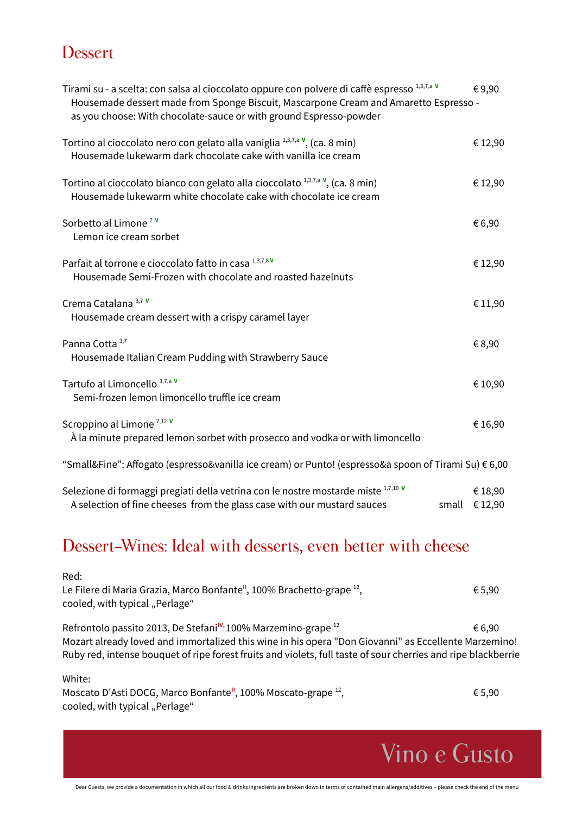#### **Dessert**

| Tirami su - a scelta: con salsa al cioccolato oppure con polvere di caffè espresso 1,3,7,a v<br>Housemade dessert made from Sponge Biscuit, Mascarpone Cream and Amaretto Espresso -<br>as you choose: With chocolate-sauce or with ground Espresso-powder | €9,90                             |
|------------------------------------------------------------------------------------------------------------------------------------------------------------------------------------------------------------------------------------------------------------|-----------------------------------|
| Tortino al cioccolato nero con gelato alla vaniglia $1,3,7,3$ v, (ca. 8 min)<br>Housemade lukewarm dark chocolate cake with vanilla ice cream                                                                                                              | € 12,90                           |
| Tortino al cioccolato bianco con gelato alla cioccolato $1,3,7,8$ V, (ca. 8 min)<br>Housemade lukewarm white chocolate cake with chocolate ice cream                                                                                                       | €12,90                            |
| Sorbetto al Limone <sup>7</sup><br>Lemon ice cream sorbet                                                                                                                                                                                                  | € 6,90                            |
| Parfait al torrone e cioccolato fatto in casa 1,3,7,8V<br>Housemade Semi-Frozen with chocolate and roasted hazelnuts                                                                                                                                       | € 12,90                           |
| Crema Catalana <sup>3,7 V</sup><br>Housemade cream dessert with a crispy caramel layer                                                                                                                                                                     | € 11,90                           |
| Panna Cotta 3,7<br>Housemade Italian Cream Pudding with Strawberry Sauce                                                                                                                                                                                   | € 8,90                            |
| Tartufo al Limoncello 3,7,a V<br>Semi-frozen lemon limoncello truffle ice cream                                                                                                                                                                            | € 10,90                           |
| Scroppino al Limone $^{7,12}$ V<br>À la minute prepared lemon sorbet with prosecco and vodka or with limoncello                                                                                                                                            | € 16,90                           |
| "Small&Fine": Affogato (espresso&vanilla ice cream) or Punto! (espresso&a spoon of Tirami Su) € 6,00                                                                                                                                                       |                                   |
| Selezione di formaggi pregiati della vetrina con le nostre mostarde miste 1,7,10 v<br>A selection of fine cheeses from the glass case with our mustard sauces                                                                                              | € 18,90<br>small $\epsilon$ 12,90 |

#### Dessert-Wines: Ideal with desserts, even better with cheese

Red: Le Filere di Maria Grazia, Marco Bonfante<sup>"</sup>, 100% Brachetto-grape<sup>12</sup>, , € 5,90 cooled, with typical "Perlage" Refrontolo passito 2013, De Stefani<sup>IV,</sup> 100% Marzemino-grape<sup>12</sup> € 6,90 Mozart already loved and immortalized this wine in his opera "Don Giovanni" as Eccellente Marzemino! Ruby red, intense bouquet of ripe forest fruits and violets, full taste of sour cherries and ripe blackberrie White:

Moscato D'Asti DOCG, Marco Bonfante<sup>"</sup>, 100% Moscato-grape<sup>12</sup>, , € 5,90 cooled, with typical "Perlage"

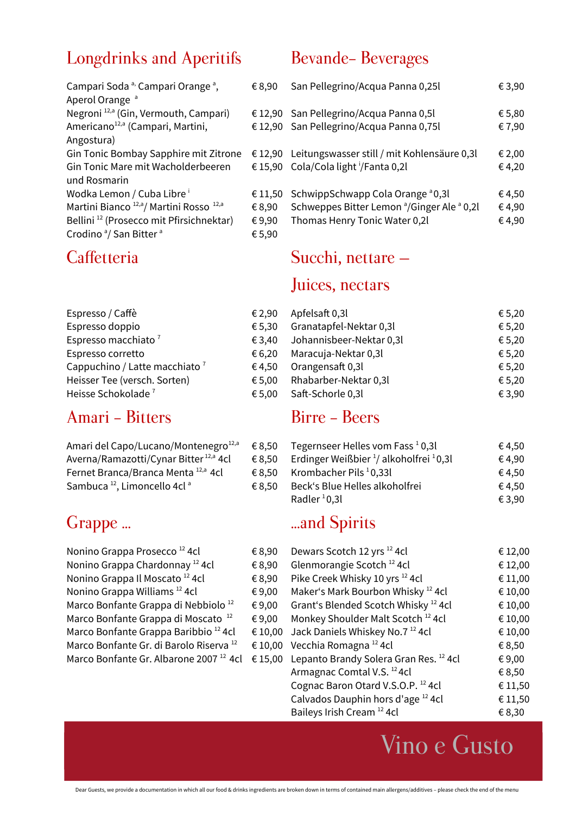#### Longdrinks and Aperitifs Bevande- Beverages

| €8,90   | San Pellegrino/Acqua Pan                          |
|---------|---------------------------------------------------|
|         |                                                   |
|         | € 12,90 San Pellegrino/Acqua Pan                  |
|         | €12,90 San Pellegrino/Acqua Pan                   |
|         |                                                   |
|         | € 12,90 Leitungswasser still / mit $\overline{r}$ |
|         | € 15,90 Cola/Cola light <sup>i</sup> /Fanta 0,21  |
|         |                                                   |
| € 11,50 | SchwippSchwapp Cola Ora                           |
| €8,90   | Schweppes Bitter Lemon <sup>a</sup>               |
| €9,90   | Thomas Henry Tonic Wate                           |
| €5,90   |                                                   |
|         |                                                   |

| Espresso / Caffè                          | €2,  |
|-------------------------------------------|------|
| Espresso doppio                           | €5,  |
| Espresso macchiato <sup>7</sup>           | €3,  |
| Espresso corretto                         | €6,  |
| Cappuchino / Latte macchiato <sup>7</sup> | €4.  |
| Heisser Tee (versch. Sorten)              | € 5, |
| Heisse Schokolade <sup>7</sup>            | €5,  |

## Amari - Bitters Birre - Beers

| Amari del Capo/Lucano/Montenegro <sup>12,a</sup>    | € 8,50 | Tegernseer Helles vom Fass <sup>1</sup>   |
|-----------------------------------------------------|--------|-------------------------------------------|
| Averna/Ramazotti/Cynar Bitter <sup>12,a</sup> 4cl   | € 8,50 | Erdinger Weißbier <sup>1</sup> / alkoholf |
| Fernet Branca/Branca Menta 12,a 4cl                 | € 8.50 | Krombacher Pils $10,331$                  |
| Sambuca <sup>12</sup> , Limoncello 4cl <sup>a</sup> | € 8.50 | Beck's Blue Helles alkoholfre             |

| Nonino Grappa Prosecco <sup>12</sup> 4cl           |  |
|----------------------------------------------------|--|
| Nonino Grappa Chardonnay <sup>12</sup> 4cl         |  |
| Nonino Grappa Il Moscato <sup>12</sup> 4cl         |  |
| Nonino Grappa Williams <sup>12</sup> 4cl           |  |
| Marco Bonfante Grappa di Nebbiolo <sup>12</sup>    |  |
| Marco Bonfante Grappa di Moscato <sup>12</sup>     |  |
| Marco Bonfante Grappa Baribbio <sup>12</sup> 4cl   |  |
| Marco Bonfante Gr. di Barolo Riserva <sup>12</sup> |  |
| Marco Bonfante Gr. Albarone 2007 <sup>12</sup> 4cl |  |

| Campari Soda <sup>a,</sup> Campari Orange <sup>a</sup> ,<br>Aperol Orange <sup>a</sup> | € 8,90 | San Pellegrino/Acqua Panna 0,25l                                  | € 3,90 |
|----------------------------------------------------------------------------------------|--------|-------------------------------------------------------------------|--------|
| Negroni <sup>12,a</sup> (Gin, Vermouth, Campari)                                       |        | € 12,90 San Pellegrino/Acqua Panna 0,5l                           | € 5,80 |
| Americano <sup>12,a</sup> (Campari, Martini,                                           |        | € 12,90 San Pellegrino/Acqua Panna 0,75l                          | €7,90  |
| Angostura)                                                                             |        |                                                                   |        |
| Gin Tonic Bombay Sapphire mit Zitrone                                                  |        | € 12,90 Leitungswasser still / mit Kohlensäure 0,3l               | € 2,00 |
| Gin Tonic Mare mit Wacholderbeeren                                                     |        | € 15,90 Cola/Cola light '/Fanta 0,2l                              | € 4,20 |
| und Rosmarin                                                                           |        |                                                                   |        |
| Wodka Lemon / Cuba Libre <sup>i</sup>                                                  |        | € 11,50 SchwippSchwapp Cola Orange $a$ 0,3l                       | € 4,50 |
| Martini Bianco <sup>12,a</sup> / Martini Rosso <sup>12,a</sup>                         | € 8,90 | Schweppes Bitter Lemon <sup>a</sup> /Ginger Ale <sup>a</sup> 0,2l | €4,90  |
| Bellini <sup>12</sup> (Prosecco mit Pfirsichnektar)                                    | €9,90  | Thomas Henry Tonic Water 0,2l                                     | €4,90  |
|                                                                                        |        |                                                                   |        |

# Caffetteria Succhi, nettare –

#### Juices, nectars

| Espresso / Caffè                          | € 2.90 | Apfelsaft 0,3l           | € 5,20 |
|-------------------------------------------|--------|--------------------------|--------|
| Espresso doppio                           | € 5.30 | Granatapfel-Nektar 0,3l  | € 5,20 |
| Espresso macchiato <sup>7</sup>           | € 3.40 | Johannisbeer-Nektar 0,3l | € 5,20 |
| Espresso corretto                         | € 6.20 | Maracuja-Nektar 0,3l     | € 5,20 |
| Cappuchino / Latte macchiato <sup>7</sup> | € 4.50 | Orangensaft 0,3l         | € 5,20 |
| Heisser Tee (versch. Sorten)              | € 5.00 | Rhabarber-Nektar 0,3l    | € 5,20 |
| Heisse Schokolade <sup>7</sup>            | € 5,00 | Saft-Schorle 0,3l        | € 3,90 |

| Amari del Capo/Lucano/Montenegro <sup>12,a</sup>  | € 8.50 | Tegernseer Helles vom Fass $10,31$                             | € 4.50 |
|---------------------------------------------------|--------|----------------------------------------------------------------|--------|
| Averna/Ramazotti/Cynar Bitter <sup>12,a</sup> 4cl | € 8.50 | Erdinger Weißbier $\frac{1}{2}$ alkoholfrei $\frac{1}{2}$ 0,3l | € 4.90 |
| Fernet Branca/Branca Menta 12,a 4cl               | € 8.50 | Krombacher Pils <sup>1</sup> 0,33l                             | € 4.50 |
| Sambuca <sup>12</sup> , Limoncello 4cl ª          | € 8.50 | Beck's Blue Helles alkoholfrei                                 | € 4.50 |
|                                                   |        | Radler <sup>1</sup> 0,3l                                       | € 3,90 |

#### Grappe ... **Called Spirits** ...and Spirits

| Nonino Grappa Prosecco <sup>12</sup> 4cl           | €8,90   | Dewars Scotch 12 yrs <sup>12</sup> 4cl            | € 12,00 |
|----------------------------------------------------|---------|---------------------------------------------------|---------|
| Nonino Grappa Chardonnay <sup>12</sup> 4cl         | €8,90   | Glenmorangie Scotch <sup>12</sup> 4cl             | € 12,00 |
| Nonino Grappa Il Moscato <sup>12</sup> 4cl         | €8,90   | Pike Creek Whisky 10 yrs <sup>12</sup> 4cl        | € 11,00 |
| Nonino Grappa Williams <sup>12</sup> 4cl           | €9,00   | Maker's Mark Bourbon Whisky <sup>12</sup> 4cl     | € 10,00 |
| Marco Bonfante Grappa di Nebbiolo <sup>12</sup>    | € 9,00  | Grant's Blended Scotch Whisky <sup>12</sup> 4cl   | € 10,00 |
| Marco Bonfante Grappa di Moscato <sup>12</sup>     | € 9,00  | Monkey Shoulder Malt Scotch <sup>12</sup> 4cl     | € 10,00 |
| Marco Bonfante Grappa Baribbio <sup>12</sup> 4cl   | € 10,00 | Jack Daniels Whiskey No.7 <sup>12</sup> 4cl       | € 10,00 |
| Marco Bonfante Gr. di Barolo Riserva <sup>12</sup> |         | € 10,00 Vecchia Romagna <sup>12</sup> 4cl         | € 8,50  |
| Marco Bonfante Gr. Albarone 2007 <sup>12</sup> 4cl | € 15,00 | Lepanto Brandy Solera Gran Res. <sup>12</sup> 4cl | €9,00   |
|                                                    |         | Armagnac Comtal V.S. <sup>12</sup> 4cl            | € 8,50  |
|                                                    |         | Cognac Baron Otard V.S.O.P. 12 4cl                | € 11,50 |
|                                                    |         | Calvados Dauphin hors d'age <sup>12</sup> 4cl     | € 11,50 |
|                                                    |         | Baileys Irish Cream <sup>12</sup> 4cl             | € 8,30  |
|                                                    |         |                                                   |         |

Vino e Gusto